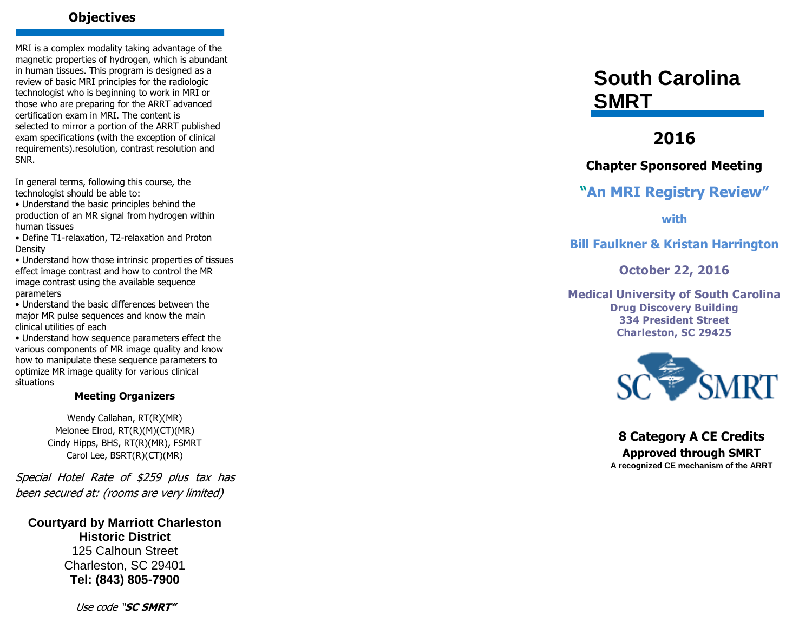## **Objectives**

MRI is a complex modality taking advantage of the magnetic properties of hydrogen, which is abundant in human tissues. This program is designed as a review of basic MRI principles for the radiologic technologist who is beginning to work in MRI or those who are preparing for the ARRT advanced certification exam in MRI. The content is selected to mirror a portion of the ARRT published exam specifications (with the exception of clinical requirements).resolution, contrast resolution and SNR.

In general terms, following this course, the technologist should be able to:

• Understand the basic principles behind the production of an MR signal from hydrogen within human tissues

• Define T1 -relaxation, T2 -relaxation and Proton Density

• Understand how those intrinsic properties of tissues effect image contrast and how to control the MR image contrast using the available sequence parameters

• Understand the basic differences between the major MR pulse sequences and know the main clinical utilities of each

• Understand how sequence parameters effect the various components of MR image quality and know how to manipulate these sequence parameters to optimize MR image quality for various clinical situations

#### **Meeting Organizers**

Wendy Callahan, RT(R)(MR) Melonee Elrod, RT(R)(M)(CT)(MR) Cindy Hipps, BHS, RT(R)(MR), FSMRT Carol Lee, BSRT(R)(CT)(MR)

Special Hotel Rate of \$259 plus tax has been secured at: (rooms are very limited)

**Courtyard by Marriott Charleston Historic District** 125 Calhoun Street Charleston, SC 29401 **Tel: (843) 805 -7900**

**South Carolina SMRT**

# **2016**

# **Chapter Sponsored Meeting**

# **" An MRI Registry Review "**

**with** 

# **Bill Faulkner & Kristan Harrington**

**October 22, 2016**

**Medical University of South Carolina Drug Discovery Building 334 President Street Charleston, SC 29425**



**8 Category A CE Credits Approved through SMRT A recognized CE mechanism of the ARRT**

Use code "**SC SMRT"**